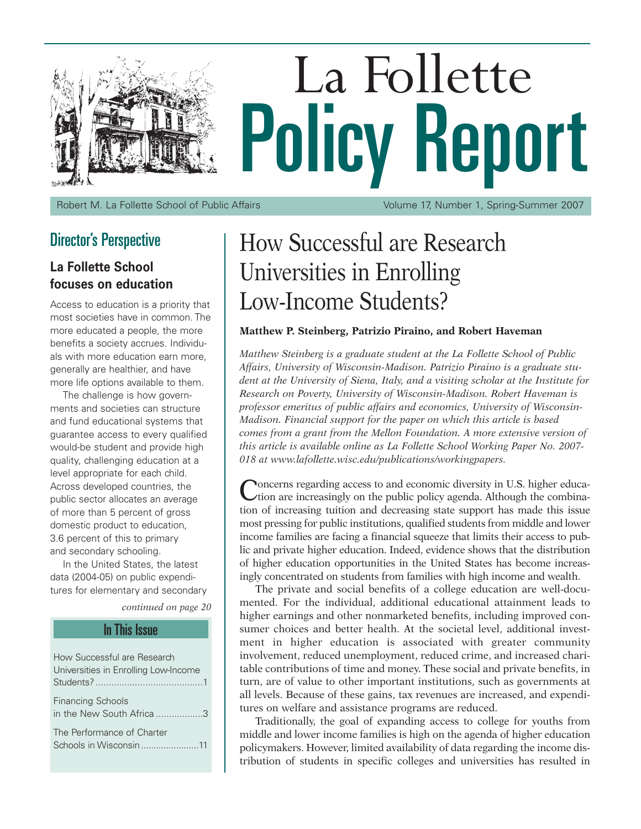

Robert M. La Follette School of Public Affairs Volume 17, Number 1, Spring-Summer 2007

# Director's Perspective

# **La Follette School focuses on education**

Access to education is a priority that most societies have in common. The more educated a people, the more benefits a society accrues. Individuals with more education earn more, generally are healthier, and have more life options available to them.

The challenge is how governments and societies can structure and fund educational systems that guarantee access to every qualified would-be student and provide high quality, challenging education at a level appropriate for each child. Across developed countries, the public sector allocates an average of more than 5 percent of gross domestic product to education, 3.6 percent of this to primary and secondary schooling.

In the United States, the latest data (2004-05) on public expenditures for elementary and secondary

*continued on page 20*

### In This Issue

| How Successful are Research          |
|--------------------------------------|
| Universities in Enrolling Low-Income |
|                                      |
| <b>Financing Schools</b>             |
| in the New South Africa 3            |
| The Performance of Charter           |
| Schools in Wisconsin11               |
|                                      |

# How Successful are Research Universities in Enrolling Low-Income Students?

### **Matthew P. Steinberg, Patrizio Piraino, and Robert Haveman**

*Matthew Steinberg is a graduate student at the La Follette School of Public Affairs, University of Wisconsin-Madison. Patrizio Piraino is a graduate student at the University of Siena, Italy, and a visiting scholar at the Institute for Research on Poverty, University of Wisconsin-Madison. Robert Haveman is professor emeritus of public affairs and economics, University of Wisconsin-Madison. Financial support for the paper on which this article is based comes from a grant from the Mellon Foundation. A more extensive version of this article is available online as La Follette School Working Paper No. 2007- 018 at www.lafollette.wisc.edu/publications/workingpapers.*

**Noncerns regarding access to and economic diversity in U.S. higher educa**tion are increasingly on the public policy agenda. Although the combination of increasing tuition and decreasing state support has made this issue most pressing for public institutions, qualified students from middle and lower income families are facing a financial squeeze that limits their access to public and private higher education. Indeed, evidence shows that the distribution of higher education opportunities in the United States has become increasingly concentrated on students from families with high income and wealth.

The private and social benefits of a college education are well-documented. For the individual, additional educational attainment leads to higher earnings and other nonmarketed benefits, including improved consumer choices and better health. At the societal level, additional investment in higher education is associated with greater community involvement, reduced unemployment, reduced crime, and increased charitable contributions of time and money. These social and private benefits, in turn, are of value to other important institutions, such as governments at all levels. Because of these gains, tax revenues are increased, and expenditures on welfare and assistance programs are reduced.

Traditionally, the goal of expanding access to college for youths from middle and lower income families is high on the agenda of higher education policymakers. However, limited availability of data regarding the income distribution of students in specific colleges and universities has resulted in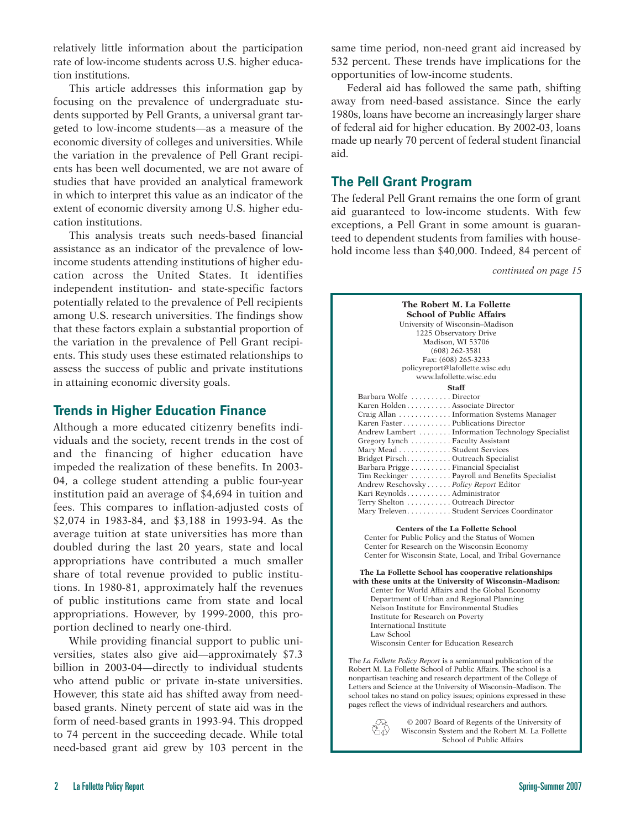relatively little information about the participation rate of low-income students across U.S. higher education institutions.

This article addresses this information gap by focusing on the prevalence of undergraduate students supported by Pell Grants, a universal grant targeted to low-income students—as a measure of the economic diversity of colleges and universities. While the variation in the prevalence of Pell Grant recipients has been well documented, we are not aware of studies that have provided an analytical framework in which to interpret this value as an indicator of the extent of economic diversity among U.S. higher education institutions.

This analysis treats such needs-based financial assistance as an indicator of the prevalence of lowincome students attending institutions of higher education across the United States. It identifies independent institution- and state-specific factors potentially related to the prevalence of Pell recipients among U.S. research universities. The findings show that these factors explain a substantial proportion of the variation in the prevalence of Pell Grant recipients. This study uses these estimated relationships to assess the success of public and private institutions in attaining economic diversity goals.

### **Trends in Higher Education Finance**

Although a more educated citizenry benefits individuals and the society, recent trends in the cost of and the financing of higher education have impeded the realization of these benefits. In 2003- 04, a college student attending a public four-year institution paid an average of \$4,694 in tuition and fees. This compares to inflation-adjusted costs of \$2,074 in 1983-84, and \$3,188 in 1993-94. As the average tuition at state universities has more than doubled during the last 20 years, state and local appropriations have contributed a much smaller share of total revenue provided to public institutions. In 1980-81, approximately half the revenues of public institutions came from state and local appropriations. However, by 1999-2000, this proportion declined to nearly one-third.

While providing financial support to public universities, states also give aid—approximately \$7.3 billion in 2003-04—directly to individual students who attend public or private in-state universities. However, this state aid has shifted away from needbased grants. Ninety percent of state aid was in the form of need-based grants in 1993-94. This dropped to 74 percent in the succeeding decade. While total need-based grant aid grew by 103 percent in the

same time period, non-need grant aid increased by 532 percent. These trends have implications for the opportunities of low-income students.

Federal aid has followed the same path, shifting away from need-based assistance. Since the early 1980s, loans have become an increasingly larger share of federal aid for higher education. By 2002-03, loans made up nearly 70 percent of federal student financial aid.

### **The Pell Grant Program**

The federal Pell Grant remains the one form of grant aid guaranteed to low-income students. With few exceptions, a Pell Grant in some amount is guaranteed to dependent students from families with household income less than \$40,000. Indeed, 84 percent of

*continued on page 15*





© 2007 Board of Regents of the University of Wisconsin System and the Robert M. La Follette School of Public Affairs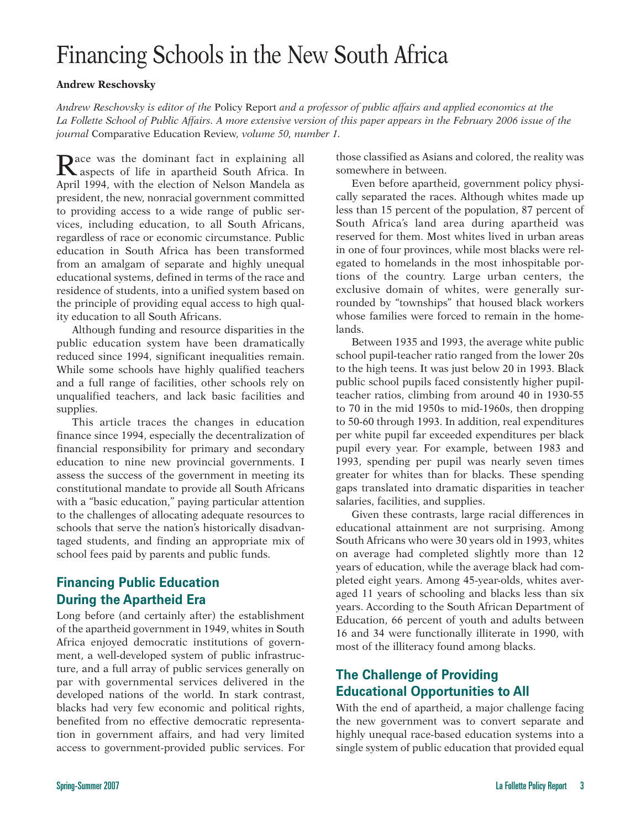# Financing Schools in the New South Africa

### **Andrew Reschovsky**

*Andrew Reschovsky is editor of the* Policy Report *and a professor of public affairs and applied economics at the La Follette School of Public Affairs. A more extensive version of this paper appears in the February 2006 issue of the journal* Comparative Education Review*, volume 50, number 1.*

Race was the dominant fact in explaining all aspects of life in apartheid South Africa. In April 1994, with the election of Nelson Mandela as president, the new, nonracial government committed to providing access to a wide range of public services, including education, to all South Africans, regardless of race or economic circumstance. Public education in South Africa has been transformed from an amalgam of separate and highly unequal educational systems, defined in terms of the race and residence of students, into a unified system based on the principle of providing equal access to high quality education to all South Africans.

Although funding and resource disparities in the public education system have been dramatically reduced since 1994, significant inequalities remain. While some schools have highly qualified teachers and a full range of facilities, other schools rely on unqualified teachers, and lack basic facilities and supplies.

This article traces the changes in education finance since 1994, especially the decentralization of financial responsibility for primary and secondary education to nine new provincial governments. I assess the success of the government in meeting its constitutional mandate to provide all South Africans with a "basic education," paying particular attention to the challenges of allocating adequate resources to schools that serve the nation's historically disadvantaged students, and finding an appropriate mix of school fees paid by parents and public funds.

# **Financing Public Education During the Apartheid Era**

Long before (and certainly after) the establishment of the apartheid government in 1949, whites in South Africa enjoyed democratic institutions of government, a well-developed system of public infrastructure, and a full array of public services generally on par with governmental services delivered in the developed nations of the world. In stark contrast, blacks had very few economic and political rights, benefited from no effective democratic representation in government affairs, and had very limited access to government-provided public services. For

those classified as Asians and colored, the reality was somewhere in between.

Even before apartheid, government policy physically separated the races. Although whites made up less than 15 percent of the population, 87 percent of South Africa's land area during apartheid was reserved for them. Most whites lived in urban areas in one of four provinces, while most blacks were relegated to homelands in the most inhospitable portions of the country. Large urban centers, the exclusive domain of whites, were generally surrounded by "townships" that housed black workers whose families were forced to remain in the homelands.

Between 1935 and 1993, the average white public school pupil-teacher ratio ranged from the lower 20s to the high teens. It was just below 20 in 1993. Black public school pupils faced consistently higher pupilteacher ratios, climbing from around 40 in 1930-55 to 70 in the mid 1950s to mid-1960s, then dropping to 50-60 through 1993. In addition, real expenditures per white pupil far exceeded expenditures per black pupil every year. For example, between 1983 and 1993, spending per pupil was nearly seven times greater for whites than for blacks. These spending gaps translated into dramatic disparities in teacher salaries, facilities, and supplies.

Given these contrasts, large racial differences in educational attainment are not surprising. Among South Africans who were 30 years old in 1993, whites on average had completed slightly more than 12 years of education, while the average black had completed eight years. Among 45-year-olds, whites averaged 11 years of schooling and blacks less than six years. According to the South African Department of Education, 66 percent of youth and adults between 16 and 34 were functionally illiterate in 1990, with most of the illiteracy found among blacks.

# **The Challenge of Providing Educational Opportunities to All**

With the end of apartheid, a major challenge facing the new government was to convert separate and highly unequal race-based education systems into a single system of public education that provided equal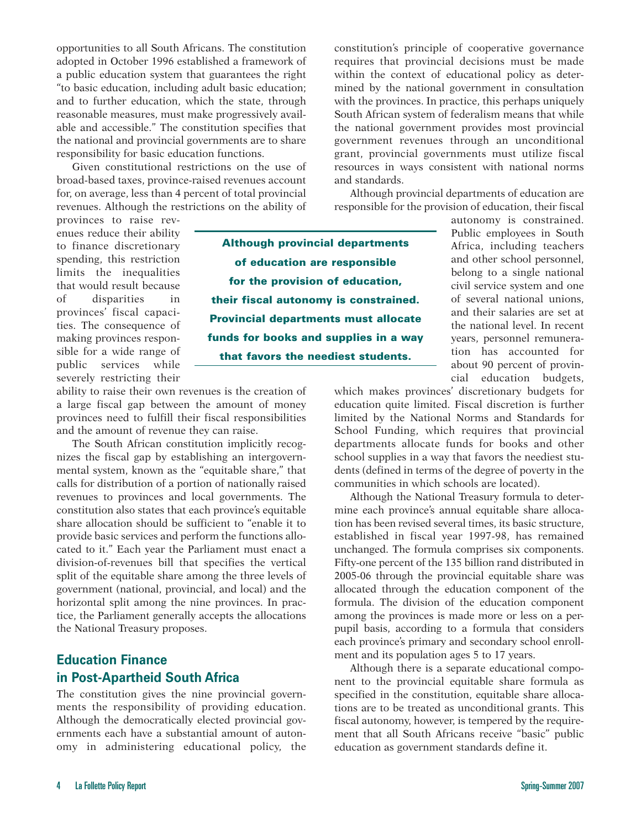opportunities to all South Africans. The constitution adopted in October 1996 established a framework of a public education system that guarantees the right "to basic education, including adult basic education; and to further education, which the state, through reasonable measures, must make progressively available and accessible." The constitution specifies that the national and provincial governments are to share responsibility for basic education functions.

Given constitutional restrictions on the use of broad-based taxes, province-raised revenues account for, on average, less than 4 percent of total provincial revenues. Although the restrictions on the ability of

provinces to raise revenues reduce their ability to finance discretionary spending, this restriction limits the inequalities that would result because of disparities in provinces' fiscal capacities. The consequence of making provinces responsible for a wide range of public services while severely restricting their

**Although provincial departments of education are responsible for the provision of education, their fiscal autonomy is constrained. Provincial departments must allocate funds for books and supplies in a way that favors the neediest students.**

ability to raise their own revenues is the creation of a large fiscal gap between the amount of money provinces need to fulfill their fiscal responsibilities and the amount of revenue they can raise.

The South African constitution implicitly recognizes the fiscal gap by establishing an intergovernmental system, known as the "equitable share," that calls for distribution of a portion of nationally raised revenues to provinces and local governments. The constitution also states that each province's equitable share allocation should be sufficient to "enable it to provide basic services and perform the functions allocated to it." Each year the Parliament must enact a division-of-revenues bill that specifies the vertical split of the equitable share among the three levels of government (national, provincial, and local) and the horizontal split among the nine provinces. In practice, the Parliament generally accepts the allocations the National Treasury proposes.

### **Education Finance in Post-Apartheid South Africa**

The constitution gives the nine provincial governments the responsibility of providing education. Although the democratically elected provincial governments each have a substantial amount of autonomy in administering educational policy, the constitution's principle of cooperative governance requires that provincial decisions must be made within the context of educational policy as determined by the national government in consultation with the provinces. In practice, this perhaps uniquely South African system of federalism means that while the national government provides most provincial government revenues through an unconditional grant, provincial governments must utilize fiscal resources in ways consistent with national norms and standards.

Although provincial departments of education are responsible for the provision of education, their fiscal

> autonomy is constrained. Public employees in South Africa, including teachers and other school personnel, belong to a single national civil service system and one of several national unions, and their salaries are set at the national level. In recent years, personnel remuneration has accounted for about 90 percent of provincial education budgets,

which makes provinces' discretionary budgets for education quite limited. Fiscal discretion is further limited by the National Norms and Standards for School Funding, which requires that provincial departments allocate funds for books and other school supplies in a way that favors the neediest students (defined in terms of the degree of poverty in the communities in which schools are located).

Although the National Treasury formula to determine each province's annual equitable share allocation has been revised several times, its basic structure, established in fiscal year 1997-98, has remained unchanged. The formula comprises six components. Fifty-one percent of the 135 billion rand distributed in 2005-06 through the provincial equitable share was allocated through the education component of the formula. The division of the education component among the provinces is made more or less on a perpupil basis, according to a formula that considers each province's primary and secondary school enrollment and its population ages 5 to 17 years.

Although there is a separate educational component to the provincial equitable share formula as specified in the constitution, equitable share allocations are to be treated as unconditional grants. This fiscal autonomy, however, is tempered by the requirement that all South Africans receive "basic" public education as government standards define it.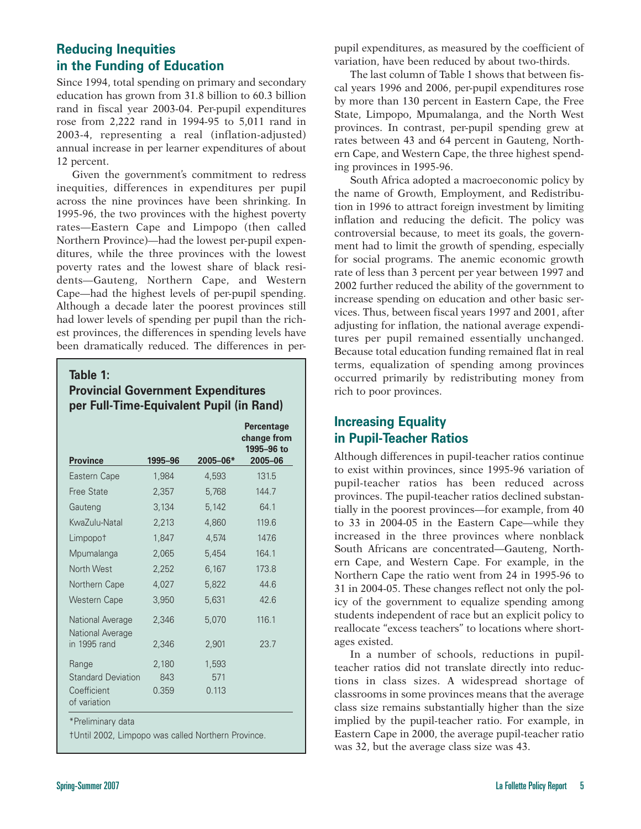# **Reducing Inequities in the Funding of Education**

Since 1994, total spending on primary and secondary education has grown from 31.8 billion to 60.3 billion rand in fiscal year 2003-04. Per-pupil expenditures rose from 2,222 rand in 1994-95 to 5,011 rand in 2003-4, representing a real (inflation-adjusted) annual increase in per learner expenditures of about 12 percent.

Given the government's commitment to redress inequities, differences in expenditures per pupil across the nine provinces have been shrinking. In 1995-96, the two provinces with the highest poverty rates—Eastern Cape and Limpopo (then called Northern Province)—had the lowest per-pupil expenditures, while the three provinces with the lowest poverty rates and the lowest share of black residents—Gauteng, Northern Cape, and Western Cape—had the highest levels of per-pupil spending. Although a decade later the poorest provinces still had lower levels of spending per pupil than the richest provinces, the differences in spending levels have been dramatically reduced. The differences in per-

### **Table 1: Provincial Government Expenditures per Full-Time-Equivalent Pupil (in Rand)**

|                                      |         |          | Percentage<br>change from<br>1995-96 to |
|--------------------------------------|---------|----------|-----------------------------------------|
| <b>Province</b>                      | 1995-96 | 2005-06* | 2005-06                                 |
| Eastern Cape                         | 1,984   | 4,593    | 131.5                                   |
| Free State                           | 2,357   | 5,768    | 144.7                                   |
| Gauteng                              | 3,134   | 5,142    | 64.1                                    |
| Kwa7ulu-Natal                        | 2,213   | 4,860    | 119.6                                   |
| Limpopot                             | 1,847   | 4,574    | 147.6                                   |
| Mpumalanga                           | 2,065   | 5,454    | 164.1                                   |
| North West                           | 2,252   | 6,167    | 173.8                                   |
| Northern Cape                        | 4,027   | 5,822    | 44.6                                    |
| <b>Western Cape</b>                  | 3,950   | 5,631    | 426                                     |
| National Average<br>National Average | 2,346   | 5,070    | 116.1                                   |
| in 1995 rand                         | 2,346   | 2,901    | 23.7                                    |
| Range                                | 2.180   | 1,593    |                                         |
| <b>Standard Deviation</b>            | 843     | 571      |                                         |
| Coefficient<br>of variation          | 0.359   | 0.113    |                                         |

\*Preliminary data

†Until 2002, Limpopo was called Northern Province.

pupil expenditures, as measured by the coefficient of variation, have been reduced by about two-thirds.

The last column of Table 1 shows that between fiscal years 1996 and 2006, per-pupil expenditures rose by more than 130 percent in Eastern Cape, the Free State, Limpopo, Mpumalanga, and the North West provinces. In contrast, per-pupil spending grew at rates between 43 and 64 percent in Gauteng, Northern Cape, and Western Cape, the three highest spending provinces in 1995-96.

South Africa adopted a macroeconomic policy by the name of Growth, Employment, and Redistribution in 1996 to attract foreign investment by limiting inflation and reducing the deficit. The policy was controversial because, to meet its goals, the government had to limit the growth of spending, especially for social programs. The anemic economic growth rate of less than 3 percent per year between 1997 and 2002 further reduced the ability of the government to increase spending on education and other basic services. Thus, between fiscal years 1997 and 2001, after adjusting for inflation, the national average expenditures per pupil remained essentially unchanged. Because total education funding remained flat in real terms, equalization of spending among provinces occurred primarily by redistributing money from rich to poor provinces.

# **Increasing Equality in Pupil-Teacher Ratios**

Although differences in pupil-teacher ratios continue to exist within provinces, since 1995-96 variation of pupil-teacher ratios has been reduced across provinces. The pupil-teacher ratios declined substantially in the poorest provinces—for example, from 40 to 33 in 2004-05 in the Eastern Cape—while they increased in the three provinces where nonblack South Africans are concentrated—Gauteng, Northern Cape, and Western Cape. For example, in the Northern Cape the ratio went from 24 in 1995-96 to 31 in 2004-05. These changes reflect not only the policy of the government to equalize spending among students independent of race but an explicit policy to reallocate "excess teachers" to locations where shortages existed.

In a number of schools, reductions in pupilteacher ratios did not translate directly into reductions in class sizes. A widespread shortage of classrooms in some provinces means that the average class size remains substantially higher than the size implied by the pupil-teacher ratio. For example, in Eastern Cape in 2000, the average pupil-teacher ratio was 32, but the average class size was 43.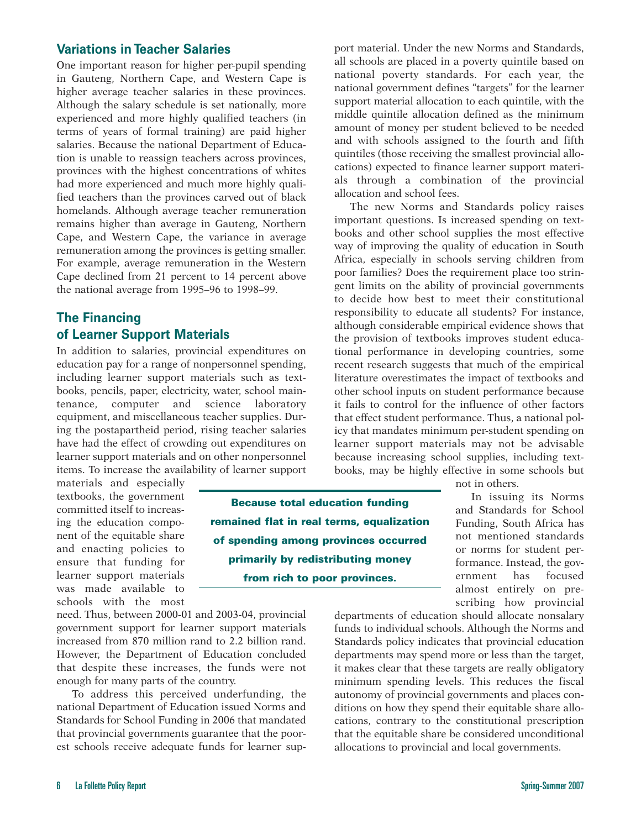### **Variations in Teacher Salaries**

One important reason for higher per-pupil spending in Gauteng, Northern Cape, and Western Cape is higher average teacher salaries in these provinces. Although the salary schedule is set nationally, more experienced and more highly qualified teachers (in terms of years of formal training) are paid higher salaries. Because the national Department of Education is unable to reassign teachers across provinces, provinces with the highest concentrations of whites had more experienced and much more highly qualified teachers than the provinces carved out of black homelands. Although average teacher remuneration remains higher than average in Gauteng, Northern Cape, and Western Cape, the variance in average remuneration among the provinces is getting smaller. For example, average remuneration in the Western Cape declined from 21 percent to 14 percent above the national average from 1995–96 to 1998–99.

# **The Financing of Learner Support Materials**

In addition to salaries, provincial expenditures on education pay for a range of nonpersonnel spending, including learner support materials such as textbooks, pencils, paper, electricity, water, school maintenance, computer and science laboratory equipment, and miscellaneous teacher supplies. During the postapartheid period, rising teacher salaries have had the effect of crowding out expenditures on learner support materials and on other nonpersonnel items. To increase the availability of learner support

materials and especially textbooks, the government committed itself to increasing the education component of the equitable share and enacting policies to ensure that funding for learner support materials was made available to schools with the most

need. Thus, between 2000-01 and 2003-04, provincial government support for learner support materials increased from 870 million rand to 2.2 billion rand. However, the Department of Education concluded that despite these increases, the funds were not enough for many parts of the country.

To address this perceived underfunding, the national Department of Education issued Norms and Standards for School Funding in 2006 that mandated that provincial governments guarantee that the poorest schools receive adequate funds for learner support material. Under the new Norms and Standards, all schools are placed in a poverty quintile based on national poverty standards. For each year, the national government defines "targets" for the learner support material allocation to each quintile, with the middle quintile allocation defined as the minimum amount of money per student believed to be needed and with schools assigned to the fourth and fifth quintiles (those receiving the smallest provincial allocations) expected to finance learner support materials through a combination of the provincial allocation and school fees.

The new Norms and Standards policy raises important questions. Is increased spending on textbooks and other school supplies the most effective way of improving the quality of education in South Africa, especially in schools serving children from poor families? Does the requirement place too stringent limits on the ability of provincial governments to decide how best to meet their constitutional responsibility to educate all students? For instance, although considerable empirical evidence shows that the provision of textbooks improves student educational performance in developing countries, some recent research suggests that much of the empirical literature overestimates the impact of textbooks and other school inputs on student performance because it fails to control for the influence of other factors that effect student performance. Thus, a national policy that mandates minimum per-student spending on learner support materials may not be advisable because increasing school supplies, including textbooks, may be highly effective in some schools but

**Because total education funding remained flat in real terms, equalization of spending among provinces occurred primarily by redistributing money from rich to poor provinces.**

not in others.

In issuing its Norms and Standards for School Funding, South Africa has not mentioned standards or norms for student performance. Instead, the government has focused almost entirely on prescribing how provincial

departments of education should allocate nonsalary funds to individual schools. Although the Norms and Standards policy indicates that provincial education departments may spend more or less than the target, it makes clear that these targets are really obligatory minimum spending levels. This reduces the fiscal autonomy of provincial governments and places conditions on how they spend their equitable share allocations, contrary to the constitutional prescription that the equitable share be considered unconditional allocations to provincial and local governments.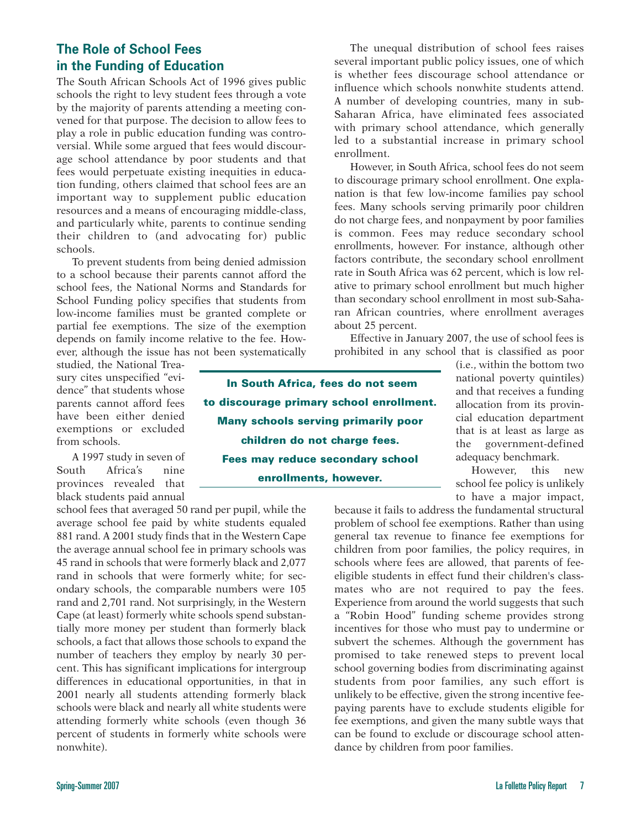# **The Role of School Fees in the Funding of Education**

The South African Schools Act of 1996 gives public schools the right to levy student fees through a vote by the majority of parents attending a meeting convened for that purpose. The decision to allow fees to play a role in public education funding was controversial. While some argued that fees would discourage school attendance by poor students and that fees would perpetuate existing inequities in education funding, others claimed that school fees are an important way to supplement public education resources and a means of encouraging middle-class, and particularly white, parents to continue sending their children to (and advocating for) public schools.

To prevent students from being denied admission to a school because their parents cannot afford the school fees, the National Norms and Standards for School Funding policy specifies that students from low-income families must be granted complete or partial fee exemptions. The size of the exemption depends on family income relative to the fee. However, although the issue has not been systematically

studied, the National Treasury cites unspecified "evidence" that students whose parents cannot afford fees have been either denied exemptions or excluded from schools.

A 1997 study in seven of South Africa's nine provinces revealed that black students paid annual

school fees that averaged 50 rand per pupil, while the average school fee paid by white students equaled 881 rand. A 2001 study finds that in the Western Cape the average annual school fee in primary schools was 45 rand in schools that were formerly black and 2,077 rand in schools that were formerly white; for secondary schools, the comparable numbers were 105 rand and 2,701 rand. Not surprisingly, in the Western Cape (at least) formerly white schools spend substantially more money per student than formerly black schools, a fact that allows those schools to expand the number of teachers they employ by nearly 30 percent. This has significant implications for intergroup differences in educational opportunities, in that in 2001 nearly all students attending formerly black schools were black and nearly all white students were attending formerly white schools (even though 36 percent of students in formerly white schools were nonwhite).

The unequal distribution of school fees raises several important public policy issues, one of which is whether fees discourage school attendance or influence which schools nonwhite students attend. A number of developing countries, many in sub-Saharan Africa, have eliminated fees associated with primary school attendance, which generally led to a substantial increase in primary school enrollment.

However, in South Africa, school fees do not seem to discourage primary school enrollment. One explanation is that few low-income families pay school fees. Many schools serving primarily poor children do not charge fees, and nonpayment by poor families is common. Fees may reduce secondary school enrollments, however. For instance, although other factors contribute, the secondary school enrollment rate in South Africa was 62 percent, which is low relative to primary school enrollment but much higher than secondary school enrollment in most sub-Saharan African countries, where enrollment averages about 25 percent.

Effective in January 2007, the use of school fees is prohibited in any school that is classified as poor

**In South Africa, fees do not seem to discourage primary school enrollment. Many schools serving primarily poor children do not charge fees. Fees may reduce secondary school enrollments, however.**

(i.e., within the bottom two national poverty quintiles) and that receives a funding allocation from its provincial education department that is at least as large as the government-defined adequacy benchmark.

However, this new school fee policy is unlikely to have a major impact,

because it fails to address the fundamental structural problem of school fee exemptions. Rather than using general tax revenue to finance fee exemptions for children from poor families, the policy requires, in schools where fees are allowed, that parents of feeeligible students in effect fund their children's classmates who are not required to pay the fees. Experience from around the world suggests that such a "Robin Hood" funding scheme provides strong incentives for those who must pay to undermine or subvert the schemes. Although the government has promised to take renewed steps to prevent local school governing bodies from discriminating against students from poor families, any such effort is unlikely to be effective, given the strong incentive feepaying parents have to exclude students eligible for fee exemptions, and given the many subtle ways that can be found to exclude or discourage school attendance by children from poor families.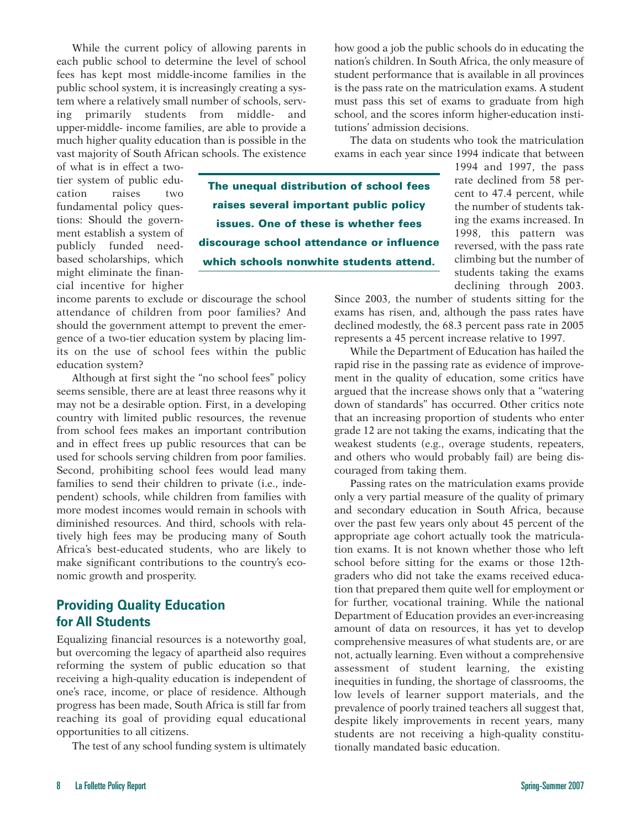While the current policy of allowing parents in each public school to determine the level of school fees has kept most middle-income families in the public school system, it is increasingly creating a system where a relatively small number of schools, serving primarily students from middle- and upper-middle- income families, are able to provide a much higher quality education than is possible in the vast majority of South African schools. The existence

of what is in effect a twotier system of public education raises two fundamental policy questions: Should the government establish a system of publicly funded needbased scholarships, which might eliminate the financial incentive for higher

**raises several important public policy issues. One of these is whether fees discourage school attendance or influence which schools nonwhite students attend.**

income parents to exclude or discourage the school attendance of children from poor families? And should the government attempt to prevent the emergence of a two-tier education system by placing limits on the use of school fees within the public education system?

Although at first sight the "no school fees" policy seems sensible, there are at least three reasons why it may not be a desirable option. First, in a developing country with limited public resources, the revenue from school fees makes an important contribution and in effect frees up public resources that can be used for schools serving children from poor families. Second, prohibiting school fees would lead many families to send their children to private (i.e., independent) schools, while children from families with more modest incomes would remain in schools with diminished resources. And third, schools with relatively high fees may be producing many of South Africa's best-educated students, who are likely to make significant contributions to the country's economic growth and prosperity.

### **Providing Quality Education for All Students**

Equalizing financial resources is a noteworthy goal, but overcoming the legacy of apartheid also requires reforming the system of public education so that receiving a high-quality education is independent of one's race, income, or place of residence. Although progress has been made, South Africa is still far from reaching its goal of providing equal educational opportunities to all citizens.

The test of any school funding system is ultimately

how good a job the public schools do in educating the nation's children. In South Africa, the only measure of student performance that is available in all provinces is the pass rate on the matriculation exams. A student must pass this set of exams to graduate from high school, and the scores inform higher-education institutions' admission decisions.

The data on students who took the matriculation exams in each year since 1994 indicate that between

**The unequal distribution of school fees**

1994 and 1997, the pass rate declined from 58 percent to 47.4 percent, while the number of students taking the exams increased. In 1998, this pattern was reversed, with the pass rate climbing but the number of students taking the exams declining through 2003.

Since 2003, the number of students sitting for the exams has risen, and, although the pass rates have declined modestly, the 68.3 percent pass rate in 2005 represents a 45 percent increase relative to 1997.

While the Department of Education has hailed the rapid rise in the passing rate as evidence of improvement in the quality of education, some critics have argued that the increase shows only that a "watering down of standards" has occurred. Other critics note that an increasing proportion of students who enter grade 12 are not taking the exams, indicating that the weakest students (e.g., overage students, repeaters, and others who would probably fail) are being discouraged from taking them.

Passing rates on the matriculation exams provide only a very partial measure of the quality of primary and secondary education in South Africa, because over the past few years only about 45 percent of the appropriate age cohort actually took the matriculation exams. It is not known whether those who left school before sitting for the exams or those 12thgraders who did not take the exams received education that prepared them quite well for employment or for further, vocational training. While the national Department of Education provides an ever-increasing amount of data on resources, it has yet to develop comprehensive measures of what students are, or are not, actually learning. Even without a comprehensive assessment of student learning, the existing inequities in funding, the shortage of classrooms, the low levels of learner support materials, and the prevalence of poorly trained teachers all suggest that, despite likely improvements in recent years, many students are not receiving a high-quality constitutionally mandated basic education.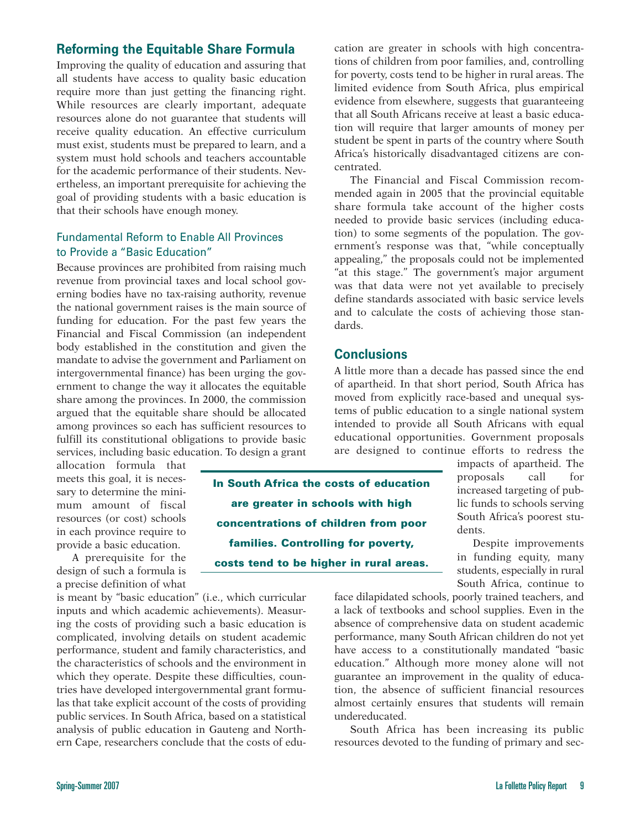### **Reforming the Equitable Share Formula**

Improving the quality of education and assuring that all students have access to quality basic education require more than just getting the financing right. While resources are clearly important, adequate resources alone do not guarantee that students will receive quality education. An effective curriculum must exist, students must be prepared to learn, and a system must hold schools and teachers accountable for the academic performance of their students. Nevertheless, an important prerequisite for achieving the goal of providing students with a basic education is that their schools have enough money.

### Fundamental Reform to Enable All Provinces to Provide a "Basic Education"

Because provinces are prohibited from raising much revenue from provincial taxes and local school governing bodies have no tax-raising authority, revenue the national government raises is the main source of funding for education. For the past few years the Financial and Fiscal Commission (an independent body established in the constitution and given the mandate to advise the government and Parliament on intergovernmental finance) has been urging the government to change the way it allocates the equitable share among the provinces. In 2000, the commission argued that the equitable share should be allocated among provinces so each has sufficient resources to fulfill its constitutional obligations to provide basic services, including basic education. To design a grant

allocation formula that meets this goal, it is necessary to determine the minimum amount of fiscal resources (or cost) schools in each province require to provide a basic education.

A prerequisite for the design of such a formula is a precise definition of what

is meant by "basic education" (i.e., which curricular inputs and which academic achievements). Measuring the costs of providing such a basic education is complicated, involving details on student academic performance, student and family characteristics, and the characteristics of schools and the environment in which they operate. Despite these difficulties, countries have developed intergovernmental grant formulas that take explicit account of the costs of providing public services. In South Africa, based on a statistical analysis of public education in Gauteng and Northern Cape, researchers conclude that the costs of education are greater in schools with high concentrations of children from poor families, and, controlling for poverty, costs tend to be higher in rural areas. The limited evidence from South Africa, plus empirical evidence from elsewhere, suggests that guaranteeing that all South Africans receive at least a basic education will require that larger amounts of money per student be spent in parts of the country where South Africa's historically disadvantaged citizens are concentrated.

The Financial and Fiscal Commission recommended again in 2005 that the provincial equitable share formula take account of the higher costs needed to provide basic services (including education) to some segments of the population. The government's response was that, "while conceptually appealing," the proposals could not be implemented "at this stage." The government's major argument was that data were not yet available to precisely define standards associated with basic service levels and to calculate the costs of achieving those standards.

### **Conclusions**

A little more than a decade has passed since the end of apartheid. In that short period, South Africa has moved from explicitly race-based and unequal systems of public education to a single national system intended to provide all South Africans with equal educational opportunities. Government proposals are designed to continue efforts to redress the

**In South Africa the costs of education are greater in schools with high concentrations of children from poor families. Controlling for poverty, costs tend to be higher in rural areas.**

impacts of apartheid. The proposals call for increased targeting of public funds to schools serving South Africa's poorest students.

Despite improvements in funding equity, many students, especially in rural South Africa, continue to

face dilapidated schools, poorly trained teachers, and a lack of textbooks and school supplies. Even in the absence of comprehensive data on student academic performance, many South African children do not yet have access to a constitutionally mandated "basic education." Although more money alone will not guarantee an improvement in the quality of education, the absence of sufficient financial resources almost certainly ensures that students will remain undereducated.

South Africa has been increasing its public resources devoted to the funding of primary and sec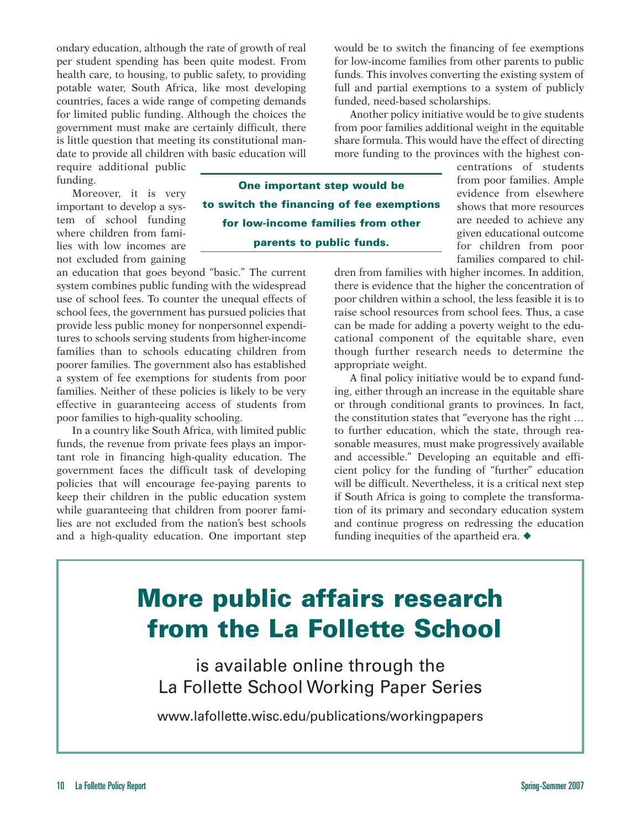ondary education, although the rate of growth of real per student spending has been quite modest. From health care, to housing, to public safety, to providing potable water, South Africa, like most developing countries, faces a wide range of competing demands for limited public funding. Although the choices the government must make are certainly difficult, there is little question that meeting its constitutional mandate to provide all children with basic education will require additional public

funding.

Moreover, it is very important to develop a system of school funding where children from families with low incomes are not excluded from gaining

an education that goes beyond "basic." The current system combines public funding with the widespread use of school fees. To counter the unequal effects of school fees, the government has pursued policies that provide less public money for nonpersonnel expenditures to schools serving students from higher-income families than to schools educating children from poorer families. The government also has established a system of fee exemptions for students from poor families. Neither of these policies is likely to be very effective in guaranteeing access of students from poor families to high-quality schooling.

In a country like South Africa, with limited public funds, the revenue from private fees plays an important role in financing high-quality education. The government faces the difficult task of developing policies that will encourage fee-paying parents to keep their children in the public education system while guaranteeing that children from poorer families are not excluded from the nation's best schools and a high-quality education. One important step would be to switch the financing of fee exemptions for low-income families from other parents to public funds. This involves converting the existing system of full and partial exemptions to a system of publicly funded, need-based scholarships.

Another policy initiative would be to give students from poor families additional weight in the equitable share formula. This would have the effect of directing more funding to the provinces with the highest con-

**One important step would be to switch the financing of fee exemptions for low-income families from other parents to public funds.** 

centrations of students from poor families. Ample evidence from elsewhere shows that more resources are needed to achieve any given educational outcome for children from poor families compared to chil-

dren from families with higher incomes. In addition, there is evidence that the higher the concentration of poor children within a school, the less feasible it is to raise school resources from school fees. Thus, a case can be made for adding a poverty weight to the educational component of the equitable share, even though further research needs to determine the appropriate weight.

A final policy initiative would be to expand funding, either through an increase in the equitable share or through conditional grants to provinces. In fact, the constitution states that "everyone has the right … to further education, which the state, through reasonable measures, must make progressively available and accessible." Developing an equitable and efficient policy for the funding of "further" education will be difficult. Nevertheless, it is a critical next step if South Africa is going to complete the transformation of its primary and secondary education system and continue progress on redressing the education funding inequities of the apartheid era. ◆

# **More public affairs research from the La Follette School**

is available online through the La Follette School Working Paper Series

www.lafollette.wisc.edu/publications/workingpapers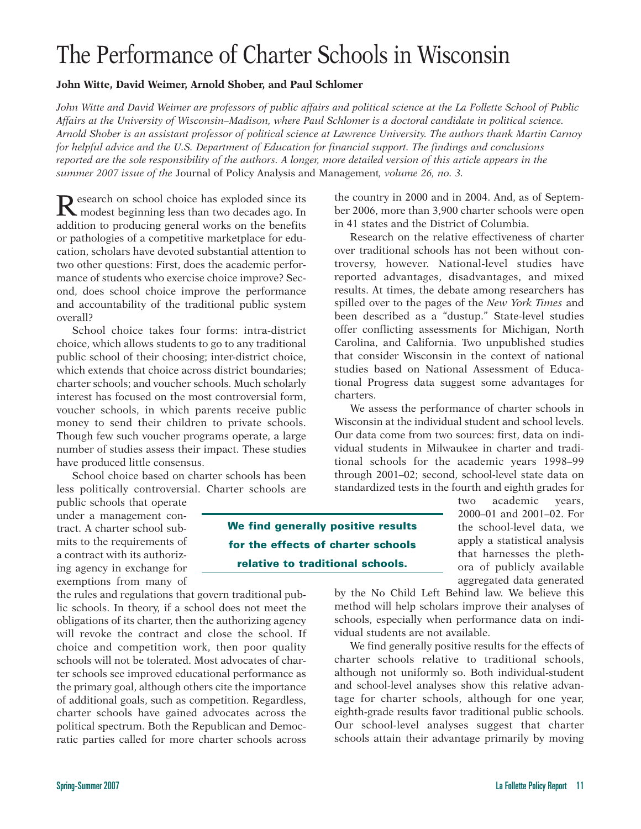# The Performance of Charter Schools in Wisconsin

### **John Witte, David Weimer, Arnold Shober, and Paul Schlomer**

*John Witte and David Weimer are professors of public affairs and political science at the La Follette School of Public Affairs at the University of Wisconsin–Madison, where Paul Schlomer is a doctoral candidate in political science. Arnold Shober is an assistant professor of political science at Lawrence University. The authors thank Martin Carnoy for helpful advice and the U.S. Department of Education for financial support. The findings and conclusions reported are the sole responsibility of the authors. A longer, more detailed version of this article appears in the summer 2007 issue of the* Journal of Policy Analysis and Management*, volume 26, no. 3.*

Research on school choice has exploded since its modest beginning less than two decades ago. In addition to producing general works on the benefits or pathologies of a competitive marketplace for education, scholars have devoted substantial attention to two other questions: First, does the academic performance of students who exercise choice improve? Second, does school choice improve the performance and accountability of the traditional public system overall?

School choice takes four forms: intra-district choice, which allows students to go to any traditional public school of their choosing; inter-district choice, which extends that choice across district boundaries; charter schools; and voucher schools. Much scholarly interest has focused on the most controversial form, voucher schools, in which parents receive public money to send their children to private schools. Though few such voucher programs operate, a large number of studies assess their impact. These studies have produced little consensus.

School choice based on charter schools has been less politically controversial. Charter schools are

public schools that operate under a management contract. A charter school submits to the requirements of a contract with its authorizing agency in exchange for exemptions from many of

the rules and regulations that govern traditional public schools. In theory, if a school does not meet the obligations of its charter, then the authorizing agency will revoke the contract and close the school. If choice and competition work, then poor quality schools will not be tolerated. Most advocates of charter schools see improved educational performance as the primary goal, although others cite the importance of additional goals, such as competition. Regardless, charter schools have gained advocates across the political spectrum. Both the Republican and Democratic parties called for more charter schools across the country in 2000 and in 2004. And, as of September 2006, more than 3,900 charter schools were open in 41 states and the District of Columbia.

Research on the relative effectiveness of charter over traditional schools has not been without controversy, however. National-level studies have reported advantages, disadvantages, and mixed results. At times, the debate among researchers has spilled over to the pages of the *New York Times* and been described as a "dustup." State-level studies offer conflicting assessments for Michigan, North Carolina, and California. Two unpublished studies that consider Wisconsin in the context of national studies based on National Assessment of Educational Progress data suggest some advantages for charters.

We assess the performance of charter schools in Wisconsin at the individual student and school levels. Our data come from two sources: first, data on individual students in Milwaukee in charter and traditional schools for the academic years 1998–99 through 2001–02; second, school-level state data on standardized tests in the fourth and eighth grades for

**We find generally positive results for the effects of charter schools relative to traditional schools.**

two academic years, 2000–01 and 2001–02. For the school-level data, we apply a statistical analysis that harnesses the plethora of publicly available aggregated data generated

by the No Child Left Behind law. We believe this method will help scholars improve their analyses of schools, especially when performance data on individual students are not available.

We find generally positive results for the effects of charter schools relative to traditional schools, although not uniformly so. Both individual-student and school-level analyses show this relative advantage for charter schools, although for one year, eighth-grade results favor traditional public schools. Our school-level analyses suggest that charter schools attain their advantage primarily by moving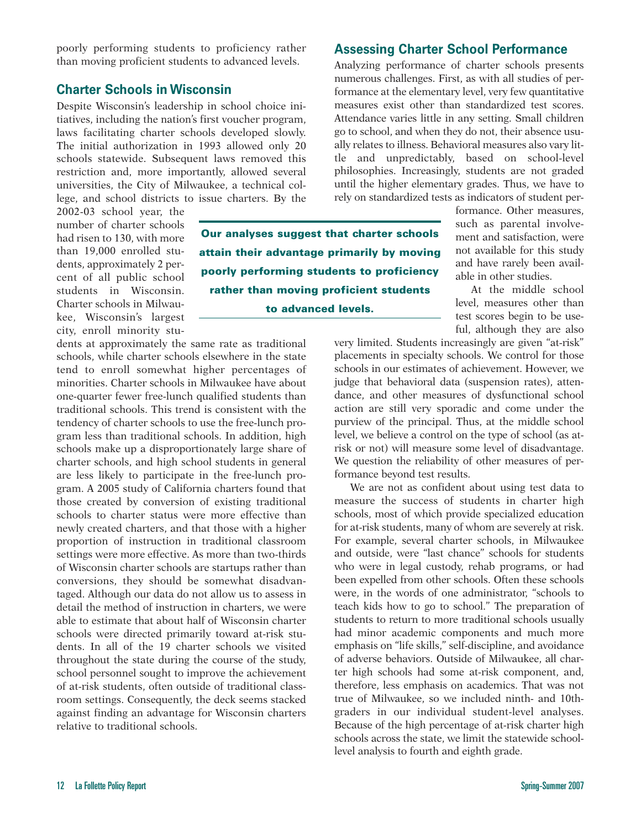poorly performing students to proficiency rather than moving proficient students to advanced levels.

### **Charter Schools in Wisconsin**

Despite Wisconsin's leadership in school choice initiatives, including the nation's first voucher program, laws facilitating charter schools developed slowly. The initial authorization in 1993 allowed only 20 schools statewide. Subsequent laws removed this restriction and, more importantly, allowed several universities, the City of Milwaukee, a technical college, and school districts to issue charters. By the

2002-03 school year, the number of charter schools had risen to 130, with more than 19,000 enrolled students, approximately 2 percent of all public school students in Wisconsin. Charter schools in Milwaukee, Wisconsin's largest city, enroll minority stu-

**Our analyses suggest that charter schools attain their advantage primarily by moving poorly performing students to proficiency rather than moving proficient students to advanced levels.**

dents at approximately the same rate as traditional schools, while charter schools elsewhere in the state tend to enroll somewhat higher percentages of minorities. Charter schools in Milwaukee have about one-quarter fewer free-lunch qualified students than traditional schools. This trend is consistent with the tendency of charter schools to use the free-lunch program less than traditional schools. In addition, high schools make up a disproportionately large share of charter schools, and high school students in general are less likely to participate in the free-lunch program. A 2005 study of California charters found that those created by conversion of existing traditional schools to charter status were more effective than newly created charters, and that those with a higher proportion of instruction in traditional classroom settings were more effective. As more than two-thirds of Wisconsin charter schools are startups rather than conversions, they should be somewhat disadvantaged. Although our data do not allow us to assess in detail the method of instruction in charters, we were able to estimate that about half of Wisconsin charter schools were directed primarily toward at-risk students. In all of the 19 charter schools we visited throughout the state during the course of the study, school personnel sought to improve the achievement of at-risk students, often outside of traditional classroom settings. Consequently, the deck seems stacked against finding an advantage for Wisconsin charters relative to traditional schools.

### **Assessing Charter School Performance**

Analyzing performance of charter schools presents numerous challenges. First, as with all studies of performance at the elementary level, very few quantitative measures exist other than standardized test scores. Attendance varies little in any setting. Small children go to school, and when they do not, their absence usually relates to illness. Behavioral measures also vary little and unpredictably, based on school-level philosophies. Increasingly, students are not graded until the higher elementary grades. Thus, we have to rely on standardized tests as indicators of student per-

> formance. Other measures, such as parental involvement and satisfaction, were not available for this study and have rarely been available in other studies.

At the middle school level, measures other than test scores begin to be useful, although they are also

very limited. Students increasingly are given "at-risk" placements in specialty schools. We control for those schools in our estimates of achievement. However, we judge that behavioral data (suspension rates), attendance, and other measures of dysfunctional school action are still very sporadic and come under the purview of the principal. Thus, at the middle school level, we believe a control on the type of school (as atrisk or not) will measure some level of disadvantage. We question the reliability of other measures of performance beyond test results.

We are not as confident about using test data to measure the success of students in charter high schools, most of which provide specialized education for at-risk students, many of whom are severely at risk. For example, several charter schools, in Milwaukee and outside, were "last chance" schools for students who were in legal custody, rehab programs, or had been expelled from other schools. Often these schools were, in the words of one administrator, "schools to teach kids how to go to school." The preparation of students to return to more traditional schools usually had minor academic components and much more emphasis on "life skills," self-discipline, and avoidance of adverse behaviors. Outside of Milwaukee, all charter high schools had some at-risk component, and, therefore, less emphasis on academics. That was not true of Milwaukee, so we included ninth- and 10thgraders in our individual student-level analyses. Because of the high percentage of at-risk charter high schools across the state, we limit the statewide schoollevel analysis to fourth and eighth grade.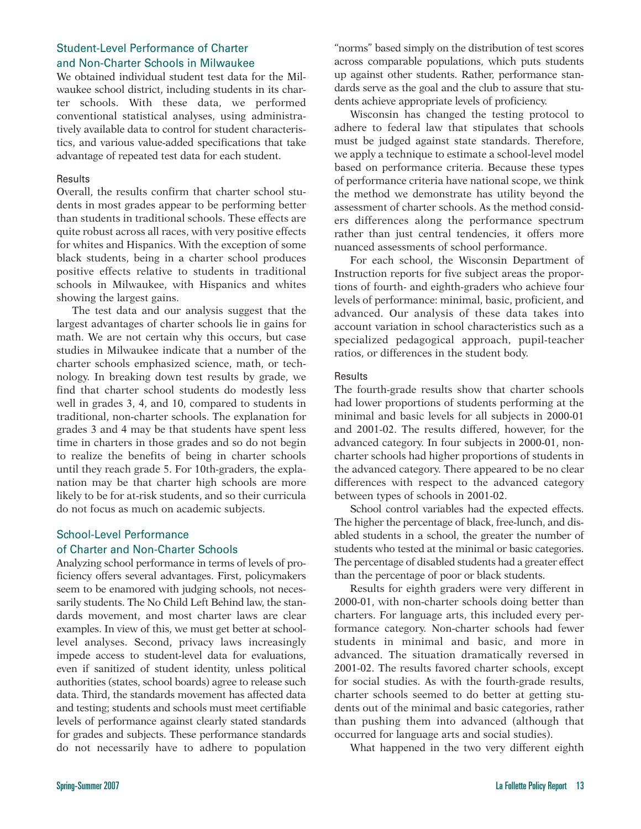### Student-Level Performance of Charter and Non-Charter Schools in Milwaukee

We obtained individual student test data for the Milwaukee school district, including students in its charter schools. With these data, we performed conventional statistical analyses, using administratively available data to control for student characteristics, and various value-added specifications that take advantage of repeated test data for each student.

#### Results

Overall, the results confirm that charter school students in most grades appear to be performing better than students in traditional schools. These effects are quite robust across all races, with very positive effects for whites and Hispanics. With the exception of some black students, being in a charter school produces positive effects relative to students in traditional schools in Milwaukee, with Hispanics and whites showing the largest gains.

The test data and our analysis suggest that the largest advantages of charter schools lie in gains for math. We are not certain why this occurs, but case studies in Milwaukee indicate that a number of the charter schools emphasized science, math, or technology. In breaking down test results by grade, we find that charter school students do modestly less well in grades 3, 4, and 10, compared to students in traditional, non-charter schools. The explanation for grades 3 and 4 may be that students have spent less time in charters in those grades and so do not begin to realize the benefits of being in charter schools until they reach grade 5. For 10th-graders, the explanation may be that charter high schools are more likely to be for at-risk students, and so their curricula do not focus as much on academic subjects.

### School-Level Performance of Charter and Non-Charter Schools

Analyzing school performance in terms of levels of proficiency offers several advantages. First, policymakers seem to be enamored with judging schools, not necessarily students. The No Child Left Behind law, the standards movement, and most charter laws are clear examples. In view of this, we must get better at schoollevel analyses. Second, privacy laws increasingly impede access to student-level data for evaluations, even if sanitized of student identity, unless political authorities (states, school boards) agree to release such data. Third, the standards movement has affected data and testing; students and schools must meet certifiable levels of performance against clearly stated standards for grades and subjects. These performance standards do not necessarily have to adhere to population

"norms" based simply on the distribution of test scores across comparable populations, which puts students up against other students. Rather, performance standards serve as the goal and the club to assure that students achieve appropriate levels of proficiency.

Wisconsin has changed the testing protocol to adhere to federal law that stipulates that schools must be judged against state standards. Therefore, we apply a technique to estimate a school-level model based on performance criteria. Because these types of performance criteria have national scope, we think the method we demonstrate has utility beyond the assessment of charter schools. As the method considers differences along the performance spectrum rather than just central tendencies, it offers more nuanced assessments of school performance.

For each school, the Wisconsin Department of Instruction reports for five subject areas the proportions of fourth- and eighth-graders who achieve four levels of performance: minimal, basic, proficient, and advanced. Our analysis of these data takes into account variation in school characteristics such as a specialized pedagogical approach, pupil-teacher ratios, or differences in the student body.

#### **Results**

The fourth-grade results show that charter schools had lower proportions of students performing at the minimal and basic levels for all subjects in 2000-01 and 2001-02. The results differed, however, for the advanced category. In four subjects in 2000-01, noncharter schools had higher proportions of students in the advanced category. There appeared to be no clear differences with respect to the advanced category between types of schools in 2001-02.

School control variables had the expected effects. The higher the percentage of black, free-lunch, and disabled students in a school, the greater the number of students who tested at the minimal or basic categories. The percentage of disabled students had a greater effect than the percentage of poor or black students.

Results for eighth graders were very different in 2000-01, with non-charter schools doing better than charters. For language arts, this included every performance category. Non-charter schools had fewer students in minimal and basic, and more in advanced. The situation dramatically reversed in 2001-02. The results favored charter schools, except for social studies. As with the fourth-grade results, charter schools seemed to do better at getting students out of the minimal and basic categories, rather than pushing them into advanced (although that occurred for language arts and social studies).

What happened in the two very different eighth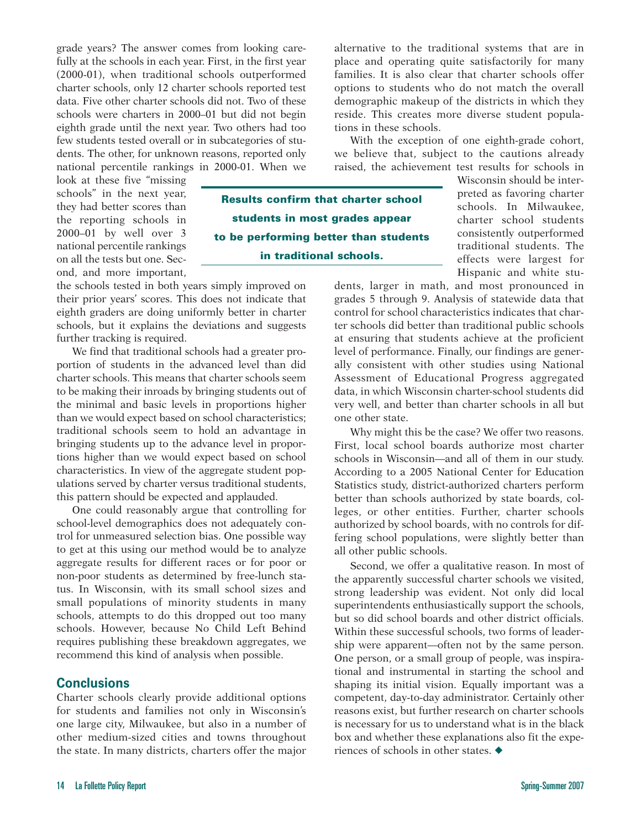grade years? The answer comes from looking carefully at the schools in each year. First, in the first year (2000-01), when traditional schools outperformed charter schools, only 12 charter schools reported test data. Five other charter schools did not. Two of these schools were charters in 2000–01 but did not begin eighth grade until the next year. Two others had too few students tested overall or in subcategories of students. The other, for unknown reasons, reported only national percentile rankings in 2000-01. When we

look at these five "missing schools" in the next year, they had better scores than the reporting schools in 2000–01 by well over 3 national percentile rankings on all the tests but one. Second, and more important,

the schools tested in both years simply improved on their prior years' scores. This does not indicate that eighth graders are doing uniformly better in charter schools, but it explains the deviations and suggests further tracking is required.

We find that traditional schools had a greater proportion of students in the advanced level than did charter schools. This means that charter schools seem to be making their inroads by bringing students out of the minimal and basic levels in proportions higher than we would expect based on school characteristics; traditional schools seem to hold an advantage in bringing students up to the advance level in proportions higher than we would expect based on school characteristics. In view of the aggregate student populations served by charter versus traditional students, this pattern should be expected and applauded.

One could reasonably argue that controlling for school-level demographics does not adequately control for unmeasured selection bias. One possible way to get at this using our method would be to analyze aggregate results for different races or for poor or non-poor students as determined by free-lunch status. In Wisconsin, with its small school sizes and small populations of minority students in many schools, attempts to do this dropped out too many schools. However, because No Child Left Behind requires publishing these breakdown aggregates, we recommend this kind of analysis when possible.

### **Conclusions**

Charter schools clearly provide additional options for students and families not only in Wisconsin's one large city, Milwaukee, but also in a number of other medium-sized cities and towns throughout the state. In many districts, charters offer the major

alternative to the traditional systems that are in place and operating quite satisfactorily for many families. It is also clear that charter schools offer options to students who do not match the overall demographic makeup of the districts in which they reside. This creates more diverse student populations in these schools.

With the exception of one eighth-grade cohort, we believe that, subject to the cautions already raised, the achievement test results for schools in

**Results confirm that charter school students in most grades appear to be performing better than students in traditional schools.**

Wisconsin should be interpreted as favoring charter schools. In Milwaukee, charter school students consistently outperformed traditional students. The effects were largest for Hispanic and white stu-

dents, larger in math, and most pronounced in grades 5 through 9. Analysis of statewide data that control for school characteristics indicates that charter schools did better than traditional public schools at ensuring that students achieve at the proficient level of performance. Finally, our findings are generally consistent with other studies using National Assessment of Educational Progress aggregated data, in which Wisconsin charter-school students did very well, and better than charter schools in all but one other state.

Why might this be the case? We offer two reasons. First, local school boards authorize most charter schools in Wisconsin—and all of them in our study. According to a 2005 National Center for Education Statistics study, district-authorized charters perform better than schools authorized by state boards, colleges, or other entities. Further, charter schools authorized by school boards, with no controls for differing school populations, were slightly better than all other public schools.

Second, we offer a qualitative reason. In most of the apparently successful charter schools we visited, strong leadership was evident. Not only did local superintendents enthusiastically support the schools, but so did school boards and other district officials. Within these successful schools, two forms of leadership were apparent—often not by the same person. One person, or a small group of people, was inspirational and instrumental in starting the school and shaping its initial vision. Equally important was a competent, day-to-day administrator. Certainly other reasons exist, but further research on charter schools is necessary for us to understand what is in the black box and whether these explanations also fit the experiences of schools in other states. ◆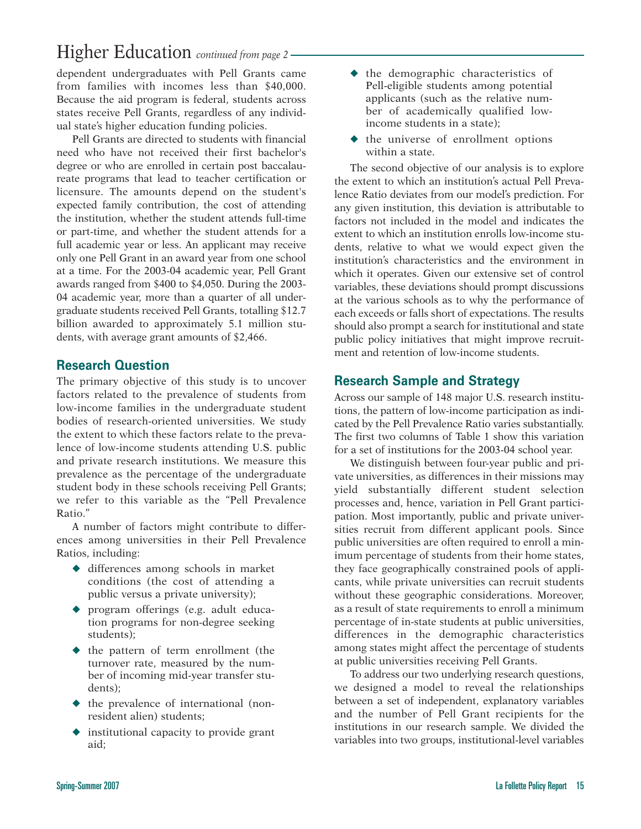# Higher Education *continued from page 2*

dependent undergraduates with Pell Grants came from families with incomes less than \$40,000. Because the aid program is federal, students across states receive Pell Grants, regardless of any individual state's higher education funding policies.

Pell Grants are directed to students with financial need who have not received their first bachelor's degree or who are enrolled in certain post baccalaureate programs that lead to teacher certification or licensure. The amounts depend on the student's expected family contribution, the cost of attending the institution, whether the student attends full-time or part-time, and whether the student attends for a full academic year or less. An applicant may receive only one Pell Grant in an award year from one school at a time. For the 2003-04 academic year, Pell Grant awards ranged from \$400 to \$4,050. During the 2003- 04 academic year, more than a quarter of all undergraduate students received Pell Grants, totalling \$12.7 billion awarded to approximately 5.1 million students, with average grant amounts of \$2,466.

# **Research Question**

The primary objective of this study is to uncover factors related to the prevalence of students from low-income families in the undergraduate student bodies of research-oriented universities. We study the extent to which these factors relate to the prevalence of low-income students attending U.S. public and private research institutions. We measure this prevalence as the percentage of the undergraduate student body in these schools receiving Pell Grants; we refer to this variable as the "Pell Prevalence Ratio."

A number of factors might contribute to differences among universities in their Pell Prevalence Ratios, including:

- ◆ differences among schools in market conditions (the cost of attending a public versus a private university);
- ◆ program offerings (e.g. adult education programs for non-degree seeking students);
- ◆ the pattern of term enrollment (the turnover rate, measured by the number of incoming mid-year transfer students);
- ◆ the prevalence of international (nonresident alien) students;
- ◆ institutional capacity to provide grant aid;
- ◆ the demographic characteristics of Pell-eligible students among potential applicants (such as the relative number of academically qualified lowincome students in a state);
- ◆ the universe of enrollment options within a state.

The second objective of our analysis is to explore the extent to which an institution's actual Pell Prevalence Ratio deviates from our model's prediction. For any given institution, this deviation is attributable to factors not included in the model and indicates the extent to which an institution enrolls low-income students, relative to what we would expect given the institution's characteristics and the environment in which it operates. Given our extensive set of control variables, these deviations should prompt discussions at the various schools as to why the performance of each exceeds or falls short of expectations. The results should also prompt a search for institutional and state public policy initiatives that might improve recruitment and retention of low-income students.

# **Research Sample and Strategy**

Across our sample of 148 major U.S. research institutions, the pattern of low-income participation as indicated by the Pell Prevalence Ratio varies substantially. The first two columns of Table 1 show this variation for a set of institutions for the 2003-04 school year.

We distinguish between four-year public and private universities, as differences in their missions may yield substantially different student selection processes and, hence, variation in Pell Grant participation. Most importantly, public and private universities recruit from different applicant pools. Since public universities are often required to enroll a minimum percentage of students from their home states, they face geographically constrained pools of applicants, while private universities can recruit students without these geographic considerations. Moreover, as a result of state requirements to enroll a minimum percentage of in-state students at public universities, differences in the demographic characteristics among states might affect the percentage of students at public universities receiving Pell Grants.

To address our two underlying research questions, we designed a model to reveal the relationships between a set of independent, explanatory variables and the number of Pell Grant recipients for the institutions in our research sample. We divided the variables into two groups, institutional-level variables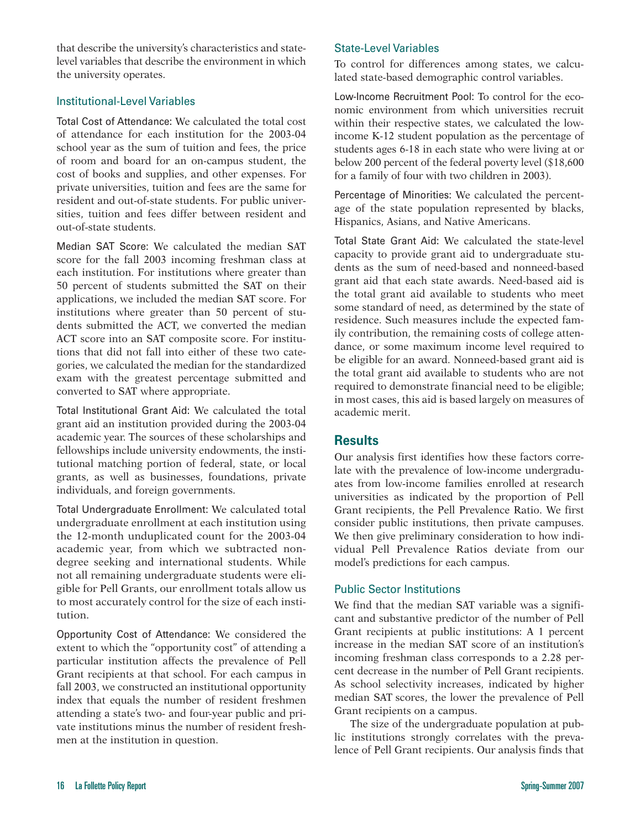that describe the university's characteristics and statelevel variables that describe the environment in which the university operates.

### Institutional-Level Variables

Total Cost of Attendance: We calculated the total cost of attendance for each institution for the 2003-04 school year as the sum of tuition and fees, the price of room and board for an on-campus student, the cost of books and supplies, and other expenses. For private universities, tuition and fees are the same for resident and out-of-state students. For public universities, tuition and fees differ between resident and out-of-state students.

Median SAT Score: We calculated the median SAT score for the fall 2003 incoming freshman class at each institution. For institutions where greater than 50 percent of students submitted the SAT on their applications, we included the median SAT score. For institutions where greater than 50 percent of students submitted the ACT, we converted the median ACT score into an SAT composite score. For institutions that did not fall into either of these two categories, we calculated the median for the standardized exam with the greatest percentage submitted and converted to SAT where appropriate.

Total Institutional Grant Aid: We calculated the total grant aid an institution provided during the 2003-04 academic year. The sources of these scholarships and fellowships include university endowments, the institutional matching portion of federal, state, or local grants, as well as businesses, foundations, private individuals, and foreign governments.

Total Undergraduate Enrollment: We calculated total undergraduate enrollment at each institution using the 12-month unduplicated count for the 2003-04 academic year, from which we subtracted nondegree seeking and international students. While not all remaining undergraduate students were eligible for Pell Grants, our enrollment totals allow us to most accurately control for the size of each institution.

Opportunity Cost of Attendance: We considered the extent to which the "opportunity cost" of attending a particular institution affects the prevalence of Pell Grant recipients at that school. For each campus in fall 2003, we constructed an institutional opportunity index that equals the number of resident freshmen attending a state's two- and four-year public and private institutions minus the number of resident freshmen at the institution in question.

### State-Level Variables

To control for differences among states, we calculated state-based demographic control variables.

Low-Income Recruitment Pool: To control for the economic environment from which universities recruit within their respective states, we calculated the lowincome K-12 student population as the percentage of students ages 6-18 in each state who were living at or below 200 percent of the federal poverty level (\$18,600 for a family of four with two children in 2003).

Percentage of Minorities: We calculated the percentage of the state population represented by blacks, Hispanics, Asians, and Native Americans.

Total State Grant Aid: We calculated the state-level capacity to provide grant aid to undergraduate students as the sum of need-based and nonneed-based grant aid that each state awards. Need-based aid is the total grant aid available to students who meet some standard of need, as determined by the state of residence. Such measures include the expected family contribution, the remaining costs of college attendance, or some maximum income level required to be eligible for an award. Nonneed-based grant aid is the total grant aid available to students who are not required to demonstrate financial need to be eligible; in most cases, this aid is based largely on measures of academic merit.

### **Results**

Our analysis first identifies how these factors correlate with the prevalence of low-income undergraduates from low-income families enrolled at research universities as indicated by the proportion of Pell Grant recipients, the Pell Prevalence Ratio. We first consider public institutions, then private campuses. We then give preliminary consideration to how individual Pell Prevalence Ratios deviate from our model's predictions for each campus.

### Public Sector Institutions

We find that the median SAT variable was a significant and substantive predictor of the number of Pell Grant recipients at public institutions: A 1 percent increase in the median SAT score of an institution's incoming freshman class corresponds to a 2.28 percent decrease in the number of Pell Grant recipients. As school selectivity increases, indicated by higher median SAT scores, the lower the prevalence of Pell Grant recipients on a campus.

The size of the undergraduate population at public institutions strongly correlates with the prevalence of Pell Grant recipients. Our analysis finds that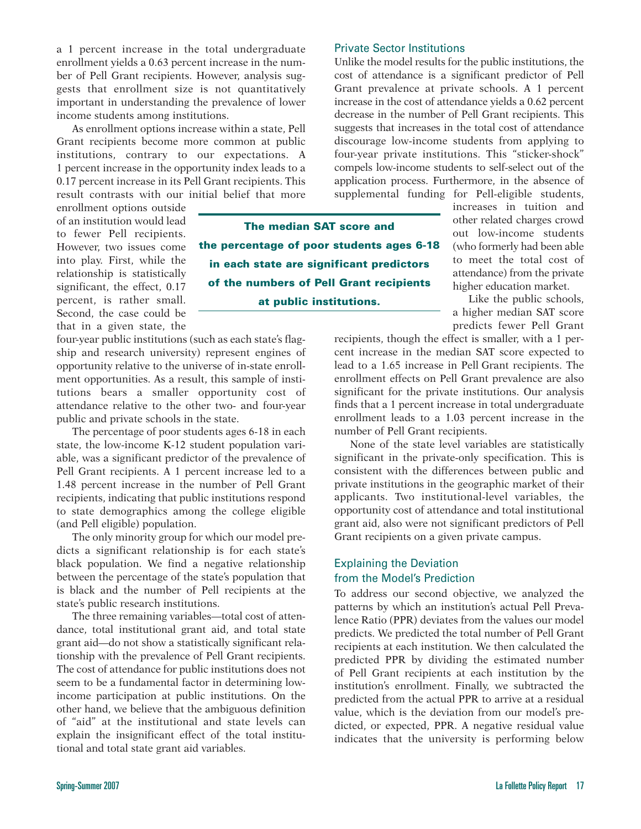a 1 percent increase in the total undergraduate enrollment yields a 0.63 percent increase in the number of Pell Grant recipients. However, analysis suggests that enrollment size is not quantitatively important in understanding the prevalence of lower income students among institutions.

As enrollment options increase within a state, Pell Grant recipients become more common at public institutions, contrary to our expectations. A 1 percent increase in the opportunity index leads to a 0.17 percent increase in its Pell Grant recipients. This result contrasts with our initial belief that more

enrollment options outside of an institution would lead to fewer Pell recipients. However, two issues come into play. First, while the relationship is statistically significant, the effect, 0.17 percent, is rather small. Second, the case could be that in a given state, the

**the percentage of poor students ages 6-18 in each state are significant predictors of the numbers of Pell Grant recipients at public institutions.**

**The median SAT score and** 

four-year public institutions (such as each state's flagship and research university) represent engines of opportunity relative to the universe of in-state enrollment opportunities. As a result, this sample of institutions bears a smaller opportunity cost of attendance relative to the other two- and four-year public and private schools in the state.

The percentage of poor students ages 6-18 in each state, the low-income K-12 student population variable, was a significant predictor of the prevalence of Pell Grant recipients. A 1 percent increase led to a 1.48 percent increase in the number of Pell Grant recipients, indicating that public institutions respond to state demographics among the college eligible (and Pell eligible) population.

The only minority group for which our model predicts a significant relationship is for each state's black population. We find a negative relationship between the percentage of the state's population that is black and the number of Pell recipients at the state's public research institutions.

The three remaining variables—total cost of attendance, total institutional grant aid, and total state grant aid—do not show a statistically significant relationship with the prevalence of Pell Grant recipients. The cost of attendance for public institutions does not seem to be a fundamental factor in determining lowincome participation at public institutions. On the other hand, we believe that the ambiguous definition of "aid" at the institutional and state levels can explain the insignificant effect of the total institutional and total state grant aid variables.

#### Private Sector Institutions

Unlike the model results for the public institutions, the cost of attendance is a significant predictor of Pell Grant prevalence at private schools. A 1 percent increase in the cost of attendance yields a 0.62 percent decrease in the number of Pell Grant recipients. This suggests that increases in the total cost of attendance discourage low-income students from applying to four-year private institutions. This "sticker-shock" compels low-income students to self-select out of the application process. Furthermore, in the absence of supplemental funding for Pell-eligible students,

increases in tuition and other related charges crowd out low-income students (who formerly had been able to meet the total cost of attendance) from the private higher education market.

Like the public schools, a higher median SAT score predicts fewer Pell Grant

recipients, though the effect is smaller, with a 1 percent increase in the median SAT score expected to lead to a 1.65 increase in Pell Grant recipients. The enrollment effects on Pell Grant prevalence are also significant for the private institutions. Our analysis finds that a 1 percent increase in total undergraduate enrollment leads to a 1.03 percent increase in the number of Pell Grant recipients.

None of the state level variables are statistically significant in the private-only specification. This is consistent with the differences between public and private institutions in the geographic market of their applicants. Two institutional-level variables, the opportunity cost of attendance and total institutional grant aid, also were not significant predictors of Pell Grant recipients on a given private campus.

#### Explaining the Deviation from the Model's Prediction

To address our second objective, we analyzed the patterns by which an institution's actual Pell Prevalence Ratio (PPR) deviates from the values our model predicts. We predicted the total number of Pell Grant recipients at each institution. We then calculated the predicted PPR by dividing the estimated number of Pell Grant recipients at each institution by the institution's enrollment. Finally, we subtracted the predicted from the actual PPR to arrive at a residual value, which is the deviation from our model's predicted, or expected, PPR. A negative residual value indicates that the university is performing below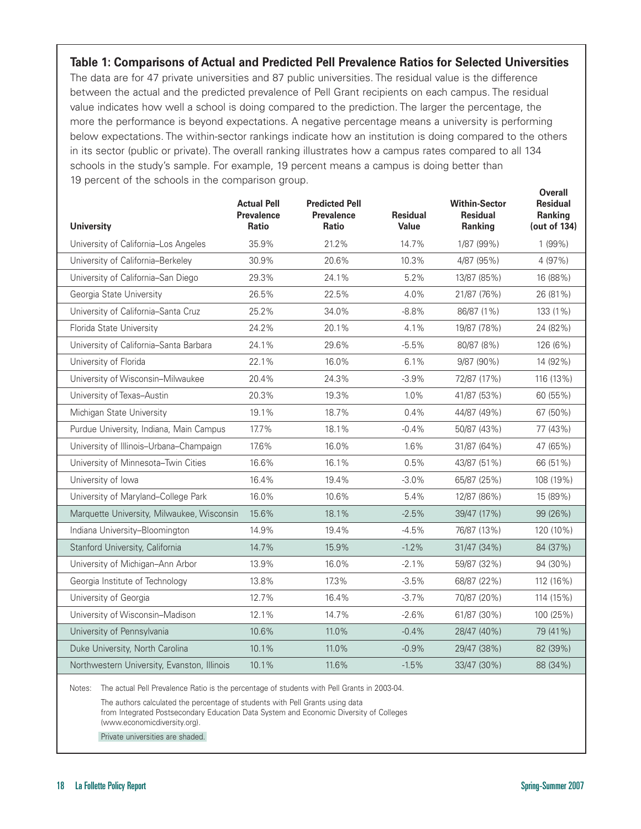### **Table 1: Comparisons of Actual and Predicted Pell Prevalence Ratios for Selected Universities** The data are for 47 private universities and 87 public universities. The residual value is the difference between the actual and the predicted prevalence of Pell Grant recipients on each campus. The residual value indicates how well a school is doing compared to the prediction. The larger the percentage, the more the performance is beyond expectations. A negative percentage means a university is performing below expectations. The within-sector rankings indicate how an institution is doing compared to the others in its sector (public or private). The overall ranking illustrates how a campus rates compared to all 134 schools in the study's sample. For example, 19 percent means a campus is doing better than 19 percent of the schools in the comparison group.

|                                             | <b>Actual Pell</b><br><b>Prevalence</b> | <b>Predicted Pell</b><br><b>Prevalence</b> | <b>Residual</b> | <b>Within-Sector</b><br><b>Residual</b> | <b>Overall</b><br><b>Residual</b><br>Ranking |
|---------------------------------------------|-----------------------------------------|--------------------------------------------|-----------------|-----------------------------------------|----------------------------------------------|
| <b>University</b>                           | Ratio                                   | <b>Ratio</b>                               | Value           | Ranking                                 | (out of 134)                                 |
| University of California-Los Angeles        | 35.9%                                   | 21.2%                                      | 14.7%           | 1/87 (99%)                              | 1(99%)                                       |
| University of California-Berkeley           | 30.9%                                   | 20.6%                                      | 10.3%           | 4/87 (95%)                              | 4 (97%)                                      |
| University of California-San Diego          | 29.3%                                   | 24.1%                                      | 5.2%            | 13/87 (85%)                             | 16 (88%)                                     |
| Georgia State University                    | 26.5%                                   | 22.5%                                      | 4.0%            | 21/87 (76%)                             | 26 (81%)                                     |
| University of California-Santa Cruz         | 25.2%                                   | 34.0%                                      | $-8.8\%$        | 86/87 (1%)                              | 133 (1%)                                     |
| Florida State University                    | 24.2%                                   | 20.1%                                      | 4.1%            | 19/87 (78%)                             | 24 (82%)                                     |
| University of California-Santa Barbara      | 24.1%                                   | 29.6%                                      | $-5.5%$         | 80/87 (8%)                              | 126 (6%)                                     |
| University of Florida                       | 22.1%                                   | 16.0%                                      | 6.1%            | 9/87 (90%)                              | 14 (92%)                                     |
| University of Wisconsin-Milwaukee           | 20.4%                                   | 24.3%                                      | $-3.9%$         | 72/87 (17%)                             | 116 (13%)                                    |
| University of Texas-Austin                  | 20.3%                                   | 19.3%                                      | 1.0%            | 41/87 (53%)                             | 60 (55%)                                     |
| Michigan State University                   | 19.1%                                   | 18.7%                                      | 0.4%            | 44/87 (49%)                             | 67 (50%)                                     |
| Purdue University, Indiana, Main Campus     | 17.7%                                   | 18.1%                                      | $-0.4%$         | 50/87 (43%)                             | 77 (43%)                                     |
| University of Illinois-Urbana-Champaign     | 17.6%                                   | 16.0%                                      | 1.6%            | 31/87 (64%)                             | 47 (65%)                                     |
| University of Minnesota-Twin Cities         | 16.6%                                   | 16.1%                                      | 0.5%            | 43/87 (51%)                             | 66 (51%)                                     |
| University of Iowa                          | 16.4%                                   | 19.4%                                      | $-3.0%$         | 65/87 (25%)                             | 108 (19%)                                    |
| University of Maryland-College Park         | 16.0%                                   | 10.6%                                      | 5.4%            | 12/87 (86%)                             | 15 (89%)                                     |
| Marquette University, Milwaukee, Wisconsin  | 15.6%                                   | 18.1%                                      | $-2.5%$         | 39/47 (17%)                             | 99 (26%)                                     |
| Indiana University-Bloomington              | 14.9%                                   | 19.4%                                      | $-4.5%$         | 76/87 (13%)                             | 120 (10%)                                    |
| Stanford University, California             | 14.7%                                   | 15.9%                                      | $-1.2%$         | 31/47 (34%)                             | 84 (37%)                                     |
| University of Michigan-Ann Arbor            | 13.9%                                   | 16.0%                                      | $-2.1%$         | 59/87 (32%)                             | 94 (30%)                                     |
| Georgia Institute of Technology             | 13.8%                                   | 17.3%                                      | $-3.5%$         | 68/87 (22%)                             | 112 (16%)                                    |
| University of Georgia                       | 12.7%                                   | 16.4%                                      | $-3.7%$         | 70/87 (20%)                             | 114 (15%)                                    |
| University of Wisconsin-Madison             | 12.1%                                   | 14.7%                                      | $-2.6%$         | 61/87 (30%)                             | 100 (25%)                                    |
| University of Pennsylvania                  | 10.6%                                   | 11.0%                                      | $-0.4%$         | 28/47 (40%)                             | 79 (41%)                                     |
| Duke University, North Carolina             | 10.1%                                   | 11.0%                                      | $-0.9%$         | 29/47 (38%)                             | 82 (39%)                                     |
| Northwestern University, Evanston, Illinois | 10.1%                                   | 11.6%                                      | $-1.5%$         | 33/47 (30%)                             | 88 (34%)                                     |
|                                             |                                         |                                            |                 |                                         |                                              |

Notes: The actual Pell Prevalence Ratio is the percentage of students with Pell Grants in 2003-04.

The authors calculated the percentage of students with Pell Grants using data

from Integrated Postsecondary Education Data System and Economic Diversity of Colleges (www.economicdiversity.org).

Private universities are shaded.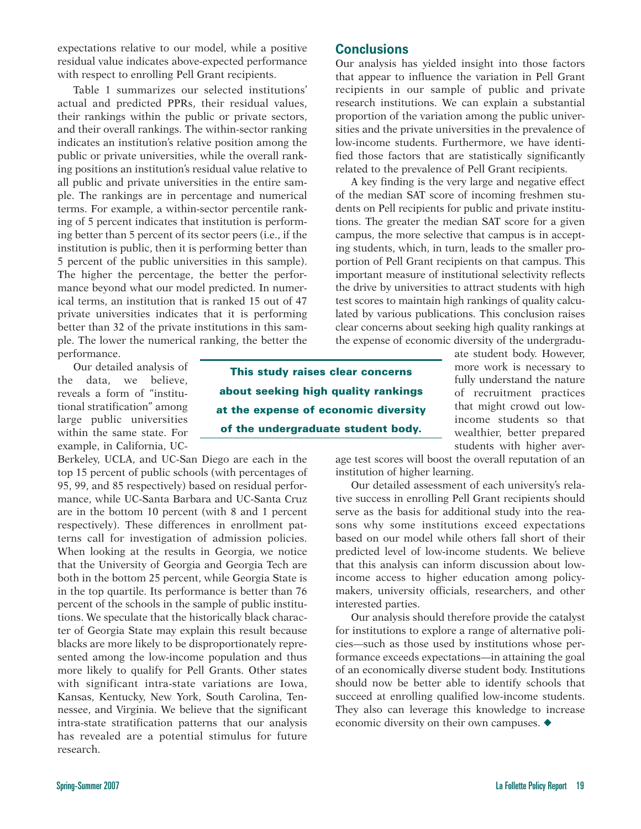expectations relative to our model, while a positive residual value indicates above-expected performance with respect to enrolling Pell Grant recipients.

Table 1 summarizes our selected institutions' actual and predicted PPRs, their residual values, their rankings within the public or private sectors, and their overall rankings. The within-sector ranking indicates an institution's relative position among the public or private universities, while the overall ranking positions an institution's residual value relative to all public and private universities in the entire sample. The rankings are in percentage and numerical terms. For example, a within-sector percentile ranking of 5 percent indicates that institution is performing better than 5 percent of its sector peers (i.e., if the institution is public, then it is performing better than 5 percent of the public universities in this sample). The higher the percentage, the better the performance beyond what our model predicted. In numerical terms, an institution that is ranked 15 out of 47 private universities indicates that it is performing better than 32 of the private institutions in this sample. The lower the numerical ranking, the better the performance.

Our detailed analysis of the data, we believe, reveals a form of "institutional stratification" among large public universities within the same state. For example, in California, UC-

Berkeley, UCLA, and UC-San Diego are each in the top 15 percent of public schools (with percentages of 95, 99, and 85 respectively) based on residual performance, while UC-Santa Barbara and UC-Santa Cruz are in the bottom 10 percent (with 8 and 1 percent respectively). These differences in enrollment patterns call for investigation of admission policies. When looking at the results in Georgia, we notice that the University of Georgia and Georgia Tech are both in the bottom 25 percent, while Georgia State is in the top quartile. Its performance is better than 76 percent of the schools in the sample of public institutions. We speculate that the historically black character of Georgia State may explain this result because blacks are more likely to be disproportionately represented among the low-income population and thus more likely to qualify for Pell Grants. Other states with significant intra-state variations are Iowa, Kansas, Kentucky, New York, South Carolina, Tennessee, and Virginia. We believe that the significant intra-state stratification patterns that our analysis has revealed are a potential stimulus for future research.

**This study raises clear concerns about seeking high quality rankings at the expense of economic diversity of the undergraduate student body.** 

**Conclusions**

ate student body. However, more work is necessary to fully understand the nature of recruitment practices that might crowd out lowincome students so that wealthier, better prepared students with higher aver-

age test scores will boost the overall reputation of an institution of higher learning.

Our analysis has yielded insight into those factors that appear to influence the variation in Pell Grant recipients in our sample of public and private research institutions. We can explain a substantial proportion of the variation among the public universities and the private universities in the prevalence of low-income students. Furthermore, we have identified those factors that are statistically significantly related to the prevalence of Pell Grant recipients.

A key finding is the very large and negative effect of the median SAT score of incoming freshmen students on Pell recipients for public and private institutions. The greater the median SAT score for a given campus, the more selective that campus is in accepting students, which, in turn, leads to the smaller proportion of Pell Grant recipients on that campus. This important measure of institutional selectivity reflects the drive by universities to attract students with high test scores to maintain high rankings of quality calculated by various publications. This conclusion raises clear concerns about seeking high quality rankings at the expense of economic diversity of the undergradu-

Our detailed assessment of each university's relative success in enrolling Pell Grant recipients should serve as the basis for additional study into the reasons why some institutions exceed expectations based on our model while others fall short of their predicted level of low-income students. We believe that this analysis can inform discussion about lowincome access to higher education among policymakers, university officials, researchers, and other interested parties.

Our analysis should therefore provide the catalyst for institutions to explore a range of alternative policies—such as those used by institutions whose performance exceeds expectations—in attaining the goal of an economically diverse student body. Institutions should now be better able to identify schools that succeed at enrolling qualified low-income students. They also can leverage this knowledge to increase economic diversity on their own campuses. ◆